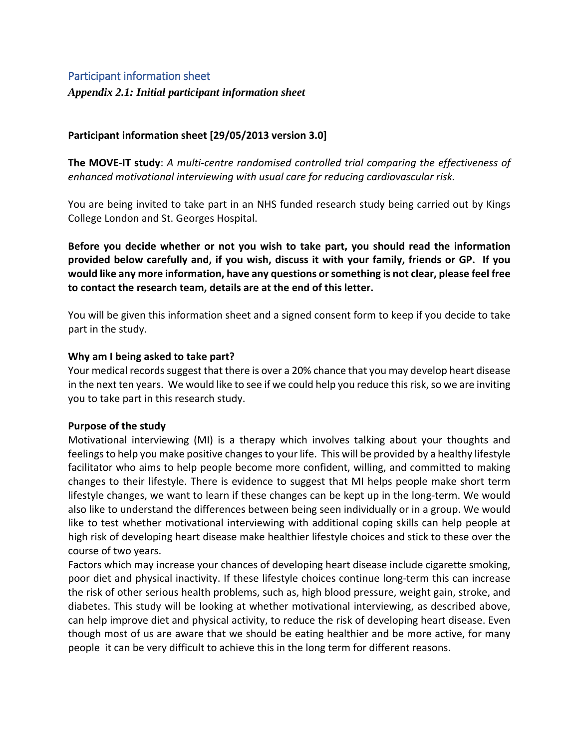# Participant information sheet

*Appendix 2.1: Initial participant information sheet*

# **Participant information sheet [29/05/2013 version 3.0]**

**The MOVE-IT study**: *A multi-centre randomised controlled trial comparing the effectiveness of enhanced motivational interviewing with usual care for reducing cardiovascular risk.*

You are being invited to take part in an NHS funded research study being carried out by Kings College London and St. Georges Hospital.

**Before you decide whether or not you wish to take part, you should read the information provided below carefully and, if you wish, discuss it with your family, friends or GP. If you would like any more information, have any questions or something is not clear, please feel free to contact the research team, details are at the end of this letter.**

You will be given this information sheet and a signed consent form to keep if you decide to take part in the study.

### **Why am I being asked to take part?**

Your medical records suggest that there is over a 20% chance that you may develop heart disease in the next ten years. We would like to see if we could help you reduce this risk, so we are inviting you to take part in this research study.

### **Purpose of the study**

Motivational interviewing (MI) is a therapy which involves talking about your thoughts and feelings to help you make positive changes to your life. This will be provided by a healthy lifestyle facilitator who aims to help people become more confident, willing, and committed to making changes to their lifestyle. There is evidence to suggest that MI helps people make short term lifestyle changes, we want to learn if these changes can be kept up in the long-term. We would also like to understand the differences between being seen individually or in a group. We would like to test whether motivational interviewing with additional coping skills can help people at high risk of developing heart disease make healthier lifestyle choices and stick to these over the course of two years.

Factors which may increase your chances of developing heart disease include cigarette smoking, poor diet and physical inactivity. If these lifestyle choices continue long-term this can increase the risk of other serious health problems, such as, high blood pressure, weight gain, stroke, and diabetes. This study will be looking at whether motivational interviewing, as described above, can help improve diet and physical activity, to reduce the risk of developing heart disease. Even though most of us are aware that we should be eating healthier and be more active, for many people it can be very difficult to achieve this in the long term for different reasons.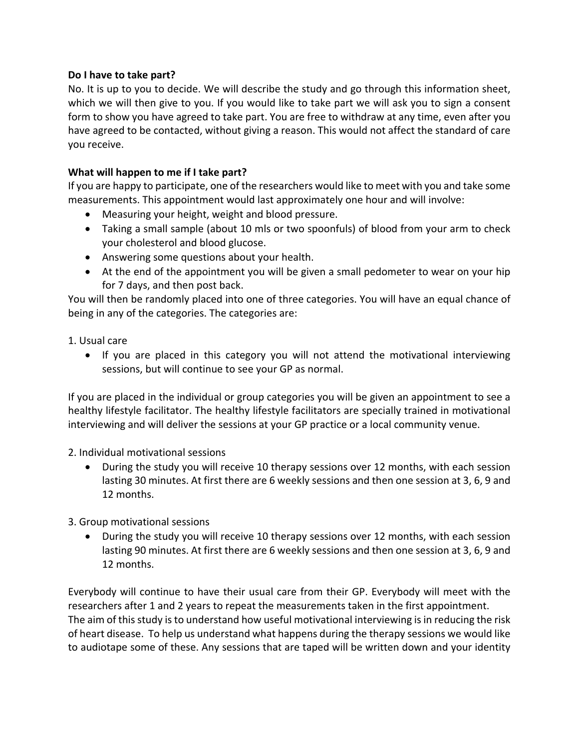## **Do I have to take part?**

No. It is up to you to decide. We will describe the study and go through this information sheet, which we will then give to you. If you would like to take part we will ask you to sign a consent form to show you have agreed to take part. You are free to withdraw at any time, even after you have agreed to be contacted, without giving a reason. This would not affect the standard of care you receive.

# **What will happen to me if I take part?**

If you are happy to participate, one of the researchers would like to meet with you and take some measurements. This appointment would last approximately one hour and will involve:

- Measuring your height, weight and blood pressure.
- Taking a small sample (about 10 mls or two spoonfuls) of blood from your arm to check your cholesterol and blood glucose.
- Answering some questions about your health.
- At the end of the appointment you will be given a small pedometer to wear on your hip for 7 days, and then post back.

You will then be randomly placed into one of three categories. You will have an equal chance of being in any of the categories. The categories are:

1. Usual care

• If you are placed in this category you will not attend the motivational interviewing sessions, but will continue to see your GP as normal.

If you are placed in the individual or group categories you will be given an appointment to see a healthy lifestyle facilitator. The healthy lifestyle facilitators are specially trained in motivational interviewing and will deliver the sessions at your GP practice or a local community venue.

2. Individual motivational sessions

• During the study you will receive 10 therapy sessions over 12 months, with each session lasting 30 minutes. At first there are 6 weekly sessions and then one session at 3, 6, 9 and 12 months.

3. Group motivational sessions

• During the study you will receive 10 therapy sessions over 12 months, with each session lasting 90 minutes. At first there are 6 weekly sessions and then one session at 3, 6, 9 and 12 months.

Everybody will continue to have their usual care from their GP. Everybody will meet with the researchers after 1 and 2 years to repeat the measurements taken in the first appointment. The aim of this study is to understand how useful motivational interviewing is in reducing the risk of heart disease. To help us understand what happens during the therapy sessions we would like to audiotape some of these. Any sessions that are taped will be written down and your identity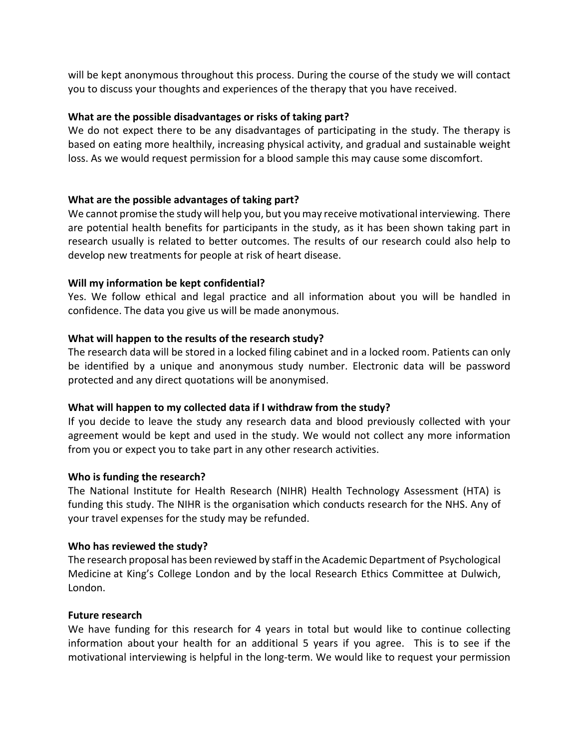will be kept anonymous throughout this process. During the course of the study we will contact you to discuss your thoughts and experiences of the therapy that you have received.

## **What are the possible disadvantages or risks of taking part?**

We do not expect there to be any disadvantages of participating in the study. The therapy is based on eating more healthily, increasing physical activity, and gradual and sustainable weight loss. As we would request permission for a blood sample this may cause some discomfort.

## **What are the possible advantages of taking part?**

We cannot promise the study will help you, but you may receive motivational interviewing. There are potential health benefits for participants in the study, as it has been shown taking part in research usually is related to better outcomes. The results of our research could also help to develop new treatments for people at risk of heart disease.

## **Will my information be kept confidential?**

Yes. We follow ethical and legal practice and all information about you will be handled in confidence. The data you give us will be made anonymous.

## **What will happen to the results of the research study?**

The research data will be stored in a locked filing cabinet and in a locked room. Patients can only be identified by a unique and anonymous study number. Electronic data will be password protected and any direct quotations will be anonymised.

### **What will happen to my collected data if I withdraw from the study?**

If you decide to leave the study any research data and blood previously collected with your agreement would be kept and used in the study. We would not collect any more information from you or expect you to take part in any other research activities.

### **Who is funding the research?**

The National Institute for Health Research (NIHR) Health Technology Assessment (HTA) is funding this study. The NIHR is the organisation which conducts research for the NHS. Any of your travel expenses for the study may be refunded.

### **Who has reviewed the study?**

The research proposal has been reviewed by staff in the Academic Department of Psychological Medicine at King's College London and by the local Research Ethics Committee at Dulwich, London.

### **Future research**

We have funding for this research for 4 years in total but would like to continue collecting information about your health for an additional 5 years if you agree. This is to see if the motivational interviewing is helpful in the long-term. We would like to request your permission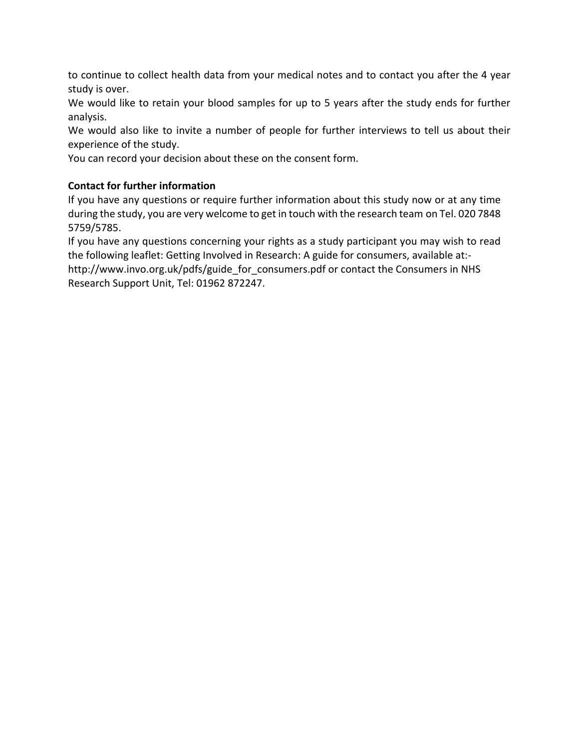to continue to collect health data from your medical notes and to contact you after the 4 year study is over.

We would like to retain your blood samples for up to 5 years after the study ends for further analysis.

We would also like to invite a number of people for further interviews to tell us about their experience of the study.

You can record your decision about these on the consent form.

# **Contact for further information**

If you have any questions or require further information about this study now or at any time during the study, you are very welcome to get in touch with the research team on Tel. 020 7848 5759/5785.

If you have any questions concerning your rights as a study participant you may wish to read the following leaflet: Getting Involved in Research: A guide for consumers, available at: [http://www.invo.org.uk/pdfs/guide\\_for\\_consumers.pdf](http://www.invo.org.uk/pdfs/guide_for_consumers.pdf) or contact the Consumers in NHS Research Support Unit, Tel: 01962 872247.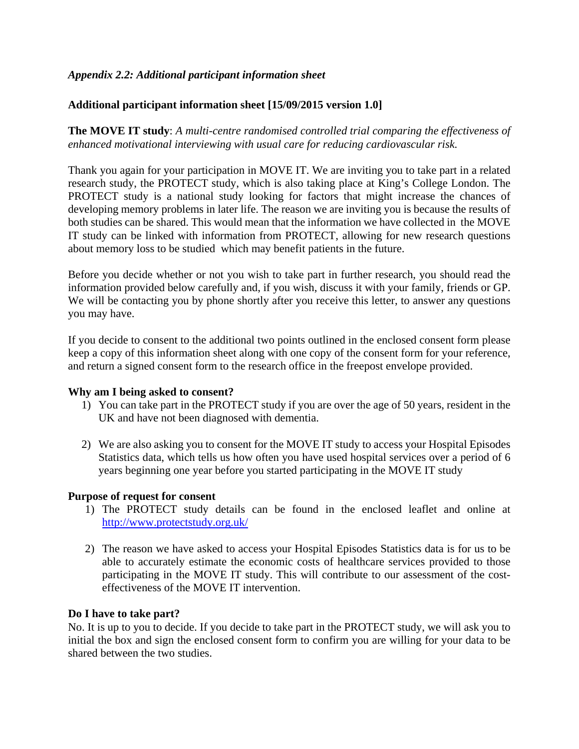# *Appendix 2.2: Additional participant information sheet*

# **Additional participant information sheet [15/09/2015 version 1.0]**

**The MOVE IT study**: *A multi-centre randomised controlled trial comparing the effectiveness of enhanced motivational interviewing with usual care for reducing cardiovascular risk.*

Thank you again for your participation in MOVE IT. We are inviting you to take part in a related research study, the PROTECT study, which is also taking place at King's College London. The PROTECT study is a national study looking for factors that might increase the chances of developing memory problems in later life. The reason we are inviting you is because the results of both studies can be shared. This would mean that the information we have collected in the MOVE IT study can be linked with information from PROTECT, allowing for new research questions about memory loss to be studied which may benefit patients in the future.

Before you decide whether or not you wish to take part in further research, you should read the information provided below carefully and, if you wish, discuss it with your family, friends or GP. We will be contacting you by phone shortly after you receive this letter, to answer any questions you may have.

If you decide to consent to the additional two points outlined in the enclosed consent form please keep a copy of this information sheet along with one copy of the consent form for your reference, and return a signed consent form to the research office in the freepost envelope provided.

### **Why am I being asked to consent?**

- 1) You can take part in the PROTECT study if you are over the age of 50 years, resident in the UK and have not been diagnosed with dementia.
- 2) We are also asking you to consent for the MOVE IT study to access your Hospital Episodes Statistics data, which tells us how often you have used hospital services over a period of 6 years beginning one year before you started participating in the MOVE IT study

# **Purpose of request for consent**

- 1) The PROTECT study details can be found in the enclosed leaflet and online at <http://www.protectstudy.org.uk/>
- 2) The reason we have asked to access your Hospital Episodes Statistics data is for us to be able to accurately estimate the economic costs of healthcare services provided to those participating in the MOVE IT study. This will contribute to our assessment of the costeffectiveness of the MOVE IT intervention.

### **Do I have to take part?**

No. It is up to you to decide. If you decide to take part in the PROTECT study, we will ask you to initial the box and sign the enclosed consent form to confirm you are willing for your data to be shared between the two studies.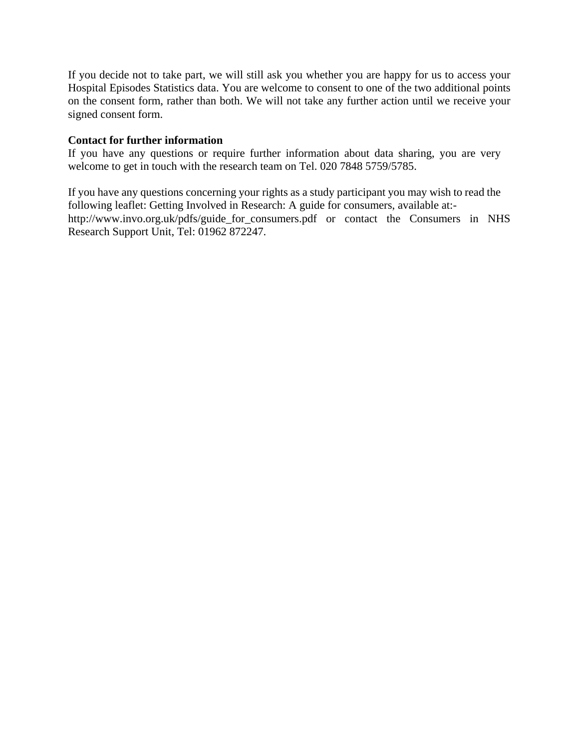If you decide not to take part, we will still ask you whether you are happy for us to access your Hospital Episodes Statistics data. You are welcome to consent to one of the two additional points on the consent form, rather than both. We will not take any further action until we receive your signed consent form.

## **Contact for further information**

If you have any questions or require further information about data sharing, you are very welcome to get in touch with the research team on Tel. 020 7848 5759/5785.

If you have any questions concerning your rights as a study participant you may wish to read the following leaflet: Getting Involved in Research: A guide for consumers, available at: [http://www.invo.org.uk/pdfs/guide\\_for\\_consumers.pdf](http://www.invo.org.uk/pdfs/guide_for_consumers.pdf) or contact the Consumers in NHS Research Support Unit, Tel: 01962 872247.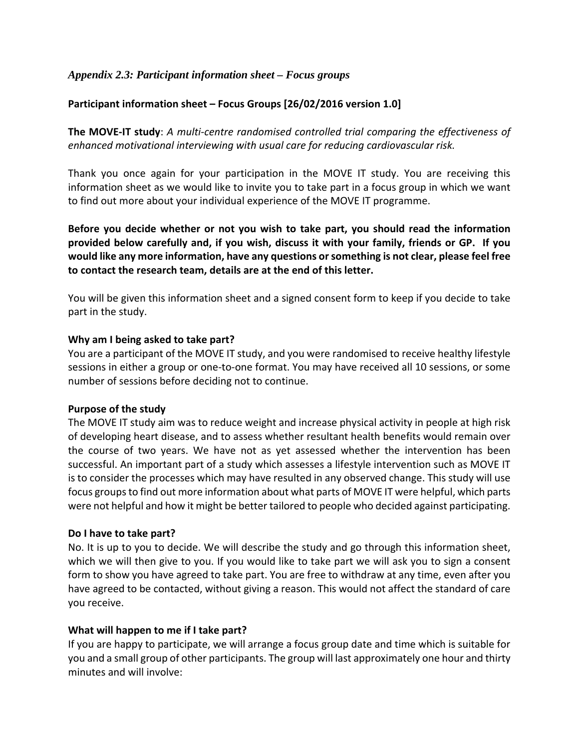# *Appendix 2.3: Participant information sheet – Focus groups*

# **Participant information sheet – Focus Groups [26/02/2016 version 1.0]**

**The MOVE-IT study**: *A multi-centre randomised controlled trial comparing the effectiveness of enhanced motivational interviewing with usual care for reducing cardiovascular risk.*

Thank you once again for your participation in the MOVE IT study. You are receiving this information sheet as we would like to invite you to take part in a focus group in which we want to find out more about your individual experience of the MOVE IT programme.

**Before you decide whether or not you wish to take part, you should read the information provided below carefully and, if you wish, discuss it with your family, friends or GP. If you would like any more information, have any questions or something is not clear, please feel free to contact the research team, details are at the end of this letter.**

You will be given this information sheet and a signed consent form to keep if you decide to take part in the study.

#### **Why am I being asked to take part?**

You are a participant of the MOVE IT study, and you were randomised to receive healthy lifestyle sessions in either a group or one-to-one format. You may have received all 10 sessions, or some number of sessions before deciding not to continue.

#### **Purpose of the study**

The MOVE IT study aim was to reduce weight and increase physical activity in people at high risk of developing heart disease, and to assess whether resultant health benefits would remain over the course of two years. We have not as yet assessed whether the intervention has been successful. An important part of a study which assesses a lifestyle intervention such as MOVE IT is to consider the processes which may have resulted in any observed change. This study will use focus groups to find out more information about what parts of MOVE IT were helpful, which parts were not helpful and how it might be better tailored to people who decided against participating.

### **Do I have to take part?**

No. It is up to you to decide. We will describe the study and go through this information sheet, which we will then give to you. If you would like to take part we will ask you to sign a consent form to show you have agreed to take part. You are free to withdraw at any time, even after you have agreed to be contacted, without giving a reason. This would not affect the standard of care you receive.

### **What will happen to me if I take part?**

If you are happy to participate, we will arrange a focus group date and time which is suitable for you and a small group of other participants. The group will last approximately one hour and thirty minutes and will involve: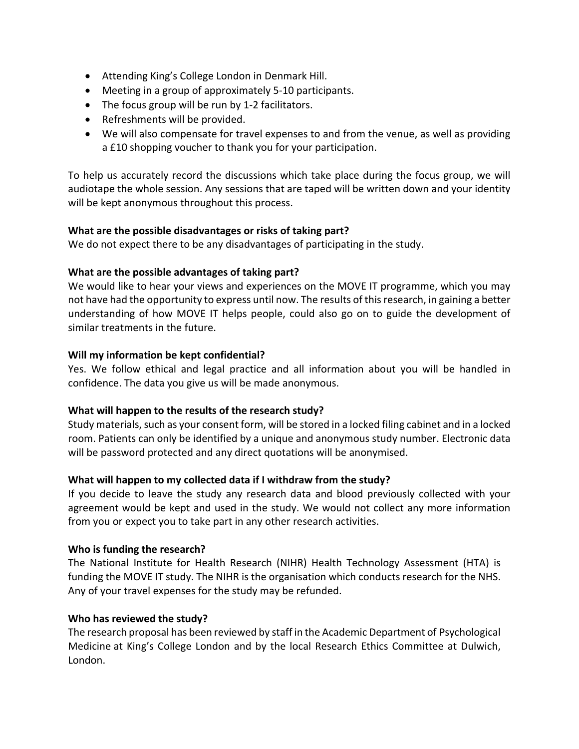- Attending King's College London in Denmark Hill.
- Meeting in a group of approximately 5-10 participants.
- The focus group will be run by 1-2 facilitators.
- Refreshments will be provided.
- We will also compensate for travel expenses to and from the venue, as well as providing a £10 shopping voucher to thank you for your participation.

To help us accurately record the discussions which take place during the focus group, we will audiotape the whole session. Any sessions that are taped will be written down and your identity will be kept anonymous throughout this process.

### **What are the possible disadvantages or risks of taking part?**

We do not expect there to be any disadvantages of participating in the study.

### **What are the possible advantages of taking part?**

We would like to hear your views and experiences on the MOVE IT programme, which you may not have had the opportunity to express until now. The results of this research, in gaining a better understanding of how MOVE IT helps people, could also go on to guide the development of similar treatments in the future.

### **Will my information be kept confidential?**

Yes. We follow ethical and legal practice and all information about you will be handled in confidence. The data you give us will be made anonymous.

### **What will happen to the results of the research study?**

Study materials, such as your consent form, will be stored in a locked filing cabinet and in a locked room. Patients can only be identified by a unique and anonymous study number. Electronic data will be password protected and any direct quotations will be anonymised.

### **What will happen to my collected data if I withdraw from the study?**

If you decide to leave the study any research data and blood previously collected with your agreement would be kept and used in the study. We would not collect any more information from you or expect you to take part in any other research activities.

#### **Who is funding the research?**

The National Institute for Health Research (NIHR) Health Technology Assessment (HTA) is funding the MOVE IT study. The NIHR is the organisation which conducts research for the NHS. Any of your travel expenses for the study may be refunded.

### **Who has reviewed the study?**

The research proposal has been reviewed by staff in the Academic Department of Psychological Medicine at King's College London and by the local Research Ethics Committee at Dulwich, London.